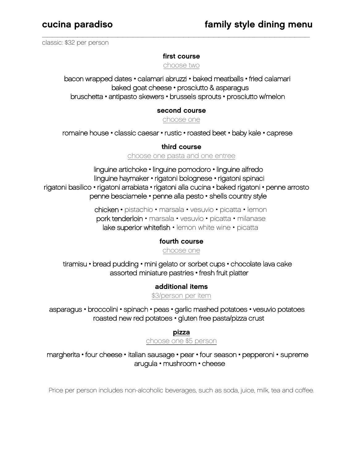classic: \$32 per person

### first course

 $\overline{\phantom{a}}$  , and the contract of the contract of the contract of the contract of the contract of the contract of the contract of the contract of the contract of the contract of the contract of the contract of the contrac

choose two

bacon wrapped dates • calamari abruzzi • baked meatballs • fried calamari baked goat cheese • prosciutto & asparagus bruschetta • antipasto skewers • brussels sprouts • prosciutto w/melon

#### second course

choose one

romaine house • classic caesar • rustic • roasted beet • baby kale • caprese

#### third course

choose one pasta and one entree

linguine artichoke • linguine pomodoro • linguine alfredo linguine haymaker • rigatoni bolognese • rigatoni spinaci rigatoni basilico • rigatoni arrabiata • rigatoni alla cucina • baked rigatoni • penne arrosto penne besciamele • penne alla pesto • shells country style

> chicken • pistachio • marsala • vesuvio • picatta • lemon pork tenderloin • marsala • vesuvio • picatta • milanase lake superior whitefish · lemon white wine · picatta

### fourth course

choose one

tiramisu • bread pudding • mini gelato or sorbet cups • chocolate lava cake assorted miniature pastries • fresh fruit platter

additional items

\$3/person per item

asparagus • broccolini • spinach • peas • garlic mashed potatoes • vesuvio potatoes roasted new red potatoes • gluten free pasta/pizza crust

pizza

choose one \$5 person

margherita • four cheese • italian sausage • pear • four season • pepperoni • supreme arugula • mushroom • cheese

Price per person includes non-alcoholic beverages, such as soda, juice, milk, tea and coffee.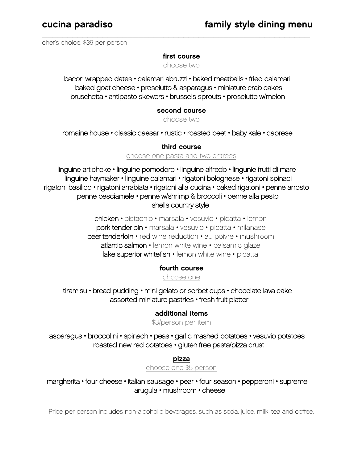chef's choice: \$39 per person

#### first course

 $\overline{\phantom{a}}$  , and the contract of the contract of the contract of the contract of the contract of the contract of the contract of the contract of the contract of the contract of the contract of the contract of the contrac

choose two

bacon wrapped dates • calamari abruzzi • baked meatballs • fried calamari baked goat cheese • prosciutto & asparagus • miniature crab cakes bruschetta • antipasto skewers • brussels sprouts • prosciutto w/melon

### second course

choose two

romaine house • classic caesar • rustic • roasted beet • baby kale • caprese

third course

choose one pasta and two entrees

linguine artichoke • linguine pomodoro • linguine alfredo • lingunie frutti di mare linguine haymaker • linguine calamari • rigatoni bolognese • rigatoni spinaci rigatoni basilico • rigatoni arrabiata • rigatoni alla cucina • baked rigatoni • penne arrosto penne besciamele • penne w/shrimp & broccoli • penne alla pesto shells country style

> chicken • pistachio • marsala • vesuvio • picatta • lemon pork tenderloin • marsala • vesuvio • picatta • milanase beef tenderloin • red wine reduction • au poivre • mushroom atlantic salmon • lemon white wine • balsamic glaze lake superior whitefish · lemon white wine · picatta

### fourth course

choose one

tiramisu • bread pudding • mini gelato or sorbet cups • chocolate lava cake assorted miniature pastries • fresh fruit platter

### additional items

\$3/person per item

asparagus • broccolini • spinach • peas • garlic mashed potatoes • vesuvio potatoes roasted new red potatoes • gluten free pasta/pizza crust

pizza

choose one \$5 person

margherita • four cheese • italian sausage • pear • four season • pepperoni • supreme arugula • mushroom • cheese

Price per person includes non-alcoholic beverages, such as soda, juice, milk, tea and coffee.